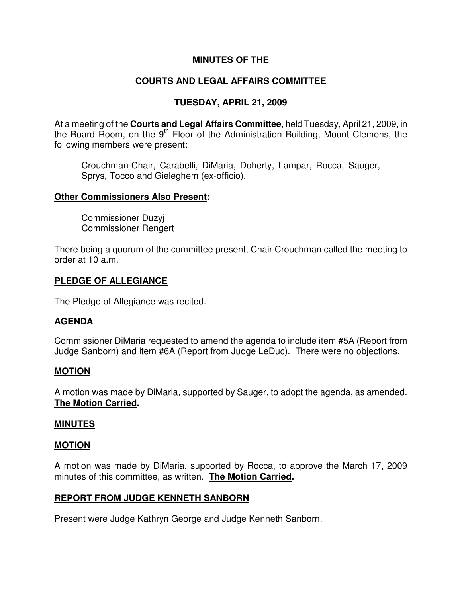# **MINUTES OF THE**

# **COURTS AND LEGAL AFFAIRS COMMITTEE**

# **TUESDAY, APRIL 21, 2009**

At a meeting of the **Courts and Legal Affairs Committee**, held Tuesday, April 21, 2009, in the Board Room, on the  $9<sup>th</sup>$  Floor of the Administration Building, Mount Clemens, the following members were present:

Crouchman-Chair, Carabelli, DiMaria, Doherty, Lampar, Rocca, Sauger, Sprys, Tocco and Gieleghem (ex-officio).

### **Other Commissioners Also Present:**

Commissioner Duzyj Commissioner Rengert

There being a quorum of the committee present, Chair Crouchman called the meeting to order at 10 a.m.

## **PLEDGE OF ALLEGIANCE**

The Pledge of Allegiance was recited.

## **AGENDA**

Commissioner DiMaria requested to amend the agenda to include item #5A (Report from Judge Sanborn) and item #6A (Report from Judge LeDuc). There were no objections.

### **MOTION**

A motion was made by DiMaria, supported by Sauger, to adopt the agenda, as amended. **The Motion Carried.** 

## **MINUTES**

### **MOTION**

A motion was made by DiMaria, supported by Rocca, to approve the March 17, 2009 minutes of this committee, as written. **The Motion Carried.** 

### **REPORT FROM JUDGE KENNETH SANBORN**

Present were Judge Kathryn George and Judge Kenneth Sanborn.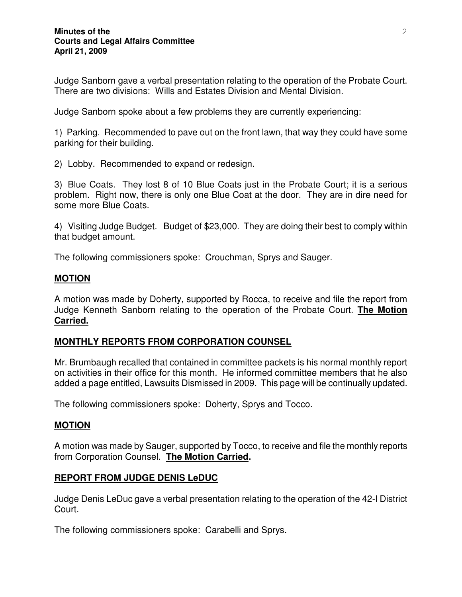Judge Sanborn gave a verbal presentation relating to the operation of the Probate Court. There are two divisions: Wills and Estates Division and Mental Division.

Judge Sanborn spoke about a few problems they are currently experiencing:

1) Parking. Recommended to pave out on the front lawn, that way they could have some parking for their building.

2) Lobby. Recommended to expand or redesign.

3) Blue Coats. They lost 8 of 10 Blue Coats just in the Probate Court; it is a serious problem. Right now, there is only one Blue Coat at the door. They are in dire need for some more Blue Coats.

4) Visiting Judge Budget. Budget of \$23,000. They are doing their best to comply within that budget amount.

The following commissioners spoke: Crouchman, Sprys and Sauger.

### **MOTION**

A motion was made by Doherty, supported by Rocca, to receive and file the report from Judge Kenneth Sanborn relating to the operation of the Probate Court. **The Motion Carried.**

## **MONTHLY REPORTS FROM CORPORATION COUNSEL**

Mr. Brumbaugh recalled that contained in committee packets is his normal monthly report on activities in their office for this month. He informed committee members that he also added a page entitled, Lawsuits Dismissed in 2009. This page will be continually updated.

The following commissioners spoke: Doherty, Sprys and Tocco.

### **MOTION**

A motion was made by Sauger, supported by Tocco, to receive and file the monthly reports from Corporation Counsel. **The Motion Carried.** 

## **REPORT FROM JUDGE DENIS LeDUC**

Judge Denis LeDuc gave a verbal presentation relating to the operation of the 42-I District Court.

The following commissioners spoke: Carabelli and Sprys.